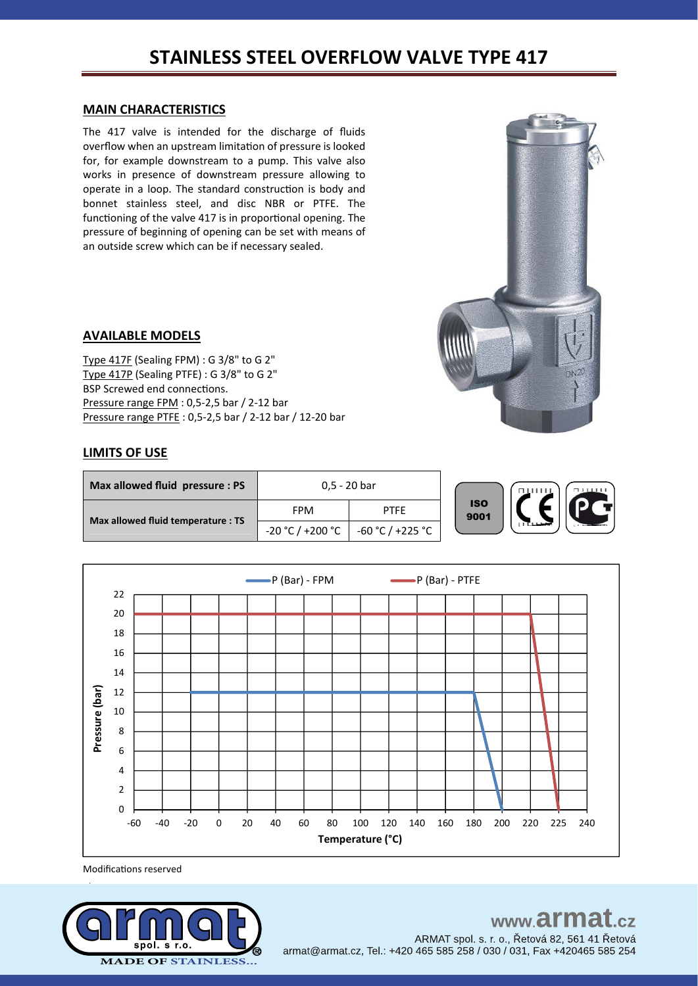# **STAINLESS STEEL OVERFLOW VALVE TYPE 417**

### **MAIN CHARACTERISTICS**

The 417 valve is intended for the discharge of fluids overflow when an upstream limitation of pressure is looked for, for example downstream to a pump. This valve also works in presence of downstream pressure allowing to operate in a loop. The standard construction is body and bonnet stainless steel, and disc NBR or PTFE. The functioning of the valve 417 is in proportional opening. The pressure of beginning of opening can be set with means of an outside screw which can be if necessary sealed.



### **AVAILABLE MODELS**

Type 417F (Sealing FPM) : G 3/8" to G 2" Type 417P (Sealing PTFE) : G 3/8" to G 2" BSP Screwed end connections. Pressure range FPM : 0,5-2,5 bar / 2-12 bar Pressure range PTFE : 0,5-2,5 bar / 2-12 bar / 12-20 bar

### **LIMITS OF USE**

| Max allowed fluid pressure : PS    |                  | 0,5 - 20 bar     |                    | <b>BULLU</b> |
|------------------------------------|------------------|------------------|--------------------|--------------|
|                                    | <b>FPM</b>       | <b>PTFE</b>      | <b>ISO</b><br>9001 |              |
| Max allowed fluid temperature : TS | -20 °C / +200 °C | -60 °C / +225 °C |                    |              |



Modifications reserved



#### www.armat  $-cz$ ARMAT spol. s. r. o., Řetová 82, 561 41 Řetová

armat@armat.cz, Tel.: +420 465 585 258 / 030 / 031, Fax +420465 585 254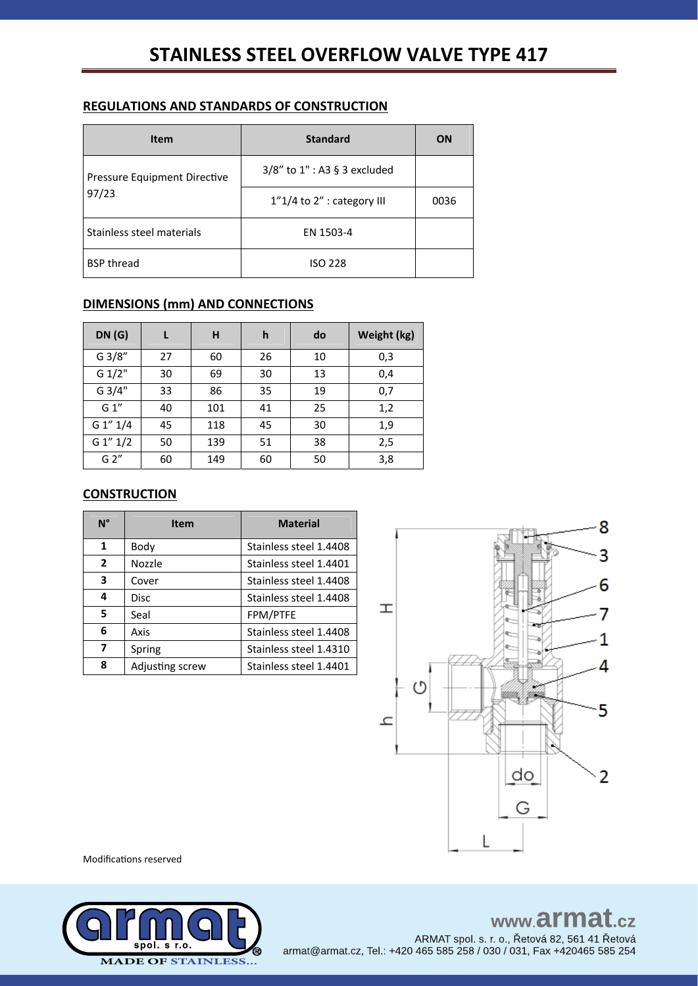# **REGULATIONS AND STANDARDS OF CONSTRUCTION**

| Item                         | <b>Standard</b>              | ON   |
|------------------------------|------------------------------|------|
| Pressure Equipment Directive | 3/8" to 1" : A3 § 3 excluded |      |
| 97/23                        | 1"1/4 to 2" : category III   | 0036 |
| Stainless steel materials    | EN 1503-4                    |      |
| <b>BSP thread</b>            | <b>ISO 228</b>               |      |

# **DIMENSIONS (mm) AND CONNECTIONS**

| DN(G)       | L  | H   | h  | do | Weight (kg) |
|-------------|----|-----|----|----|-------------|
| G 3/8"      | 27 | 60  | 26 | 10 | 0,3         |
| G 1/2"      | 30 | 69  | 30 | 13 | 0,4         |
| G 3/4"      | 33 | 86  | 35 | 19 | 0,7         |
| G 1"        | 40 | 101 | 41 | 25 | 1,2         |
| G 1" 1/4    | 45 | 118 | 45 | 30 | 1,9         |
| $G_1''_1/2$ | 50 | 139 | 51 | 38 | 2,5         |
| G 2"        | 60 | 149 | 60 | 50 | 3,8         |

## **CONSTRUCTION**

| $N^{\circ}$  | <b>Item</b>     | <b>Material</b>        |
|--------------|-----------------|------------------------|
| 1            | Body            | Stainless steel 1.4408 |
| $\mathbf{2}$ | Nozzle          | Stainless steel 1.4401 |
| 3            | Cover           | Stainless steel 1.4408 |
| 4            | <b>Disc</b>     | Stainless steel 1.4408 |
| 5            | Seal            | FPM/PTFE               |
| 6            | Axis            | Stainless steel 1.4408 |
| 7            | Spring          | Stainless steel 1.4310 |
| 8            | Adjusting screw | Stainless steel 1.4401 |



Modifications reserved



# www.armat.cz

ARMAT spol. s. r. o., Řetová 82, 561 41 Řetová armat@armat.cz, Tel.: +420 465 585 258 / 030 / 031, Fax +420465 585 254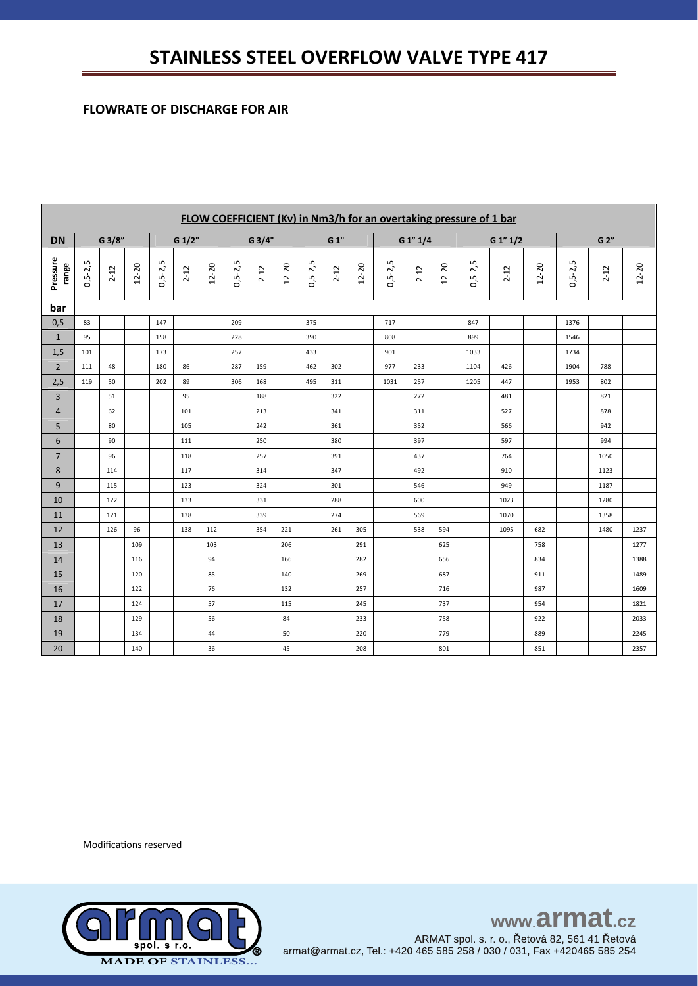# **STAINLESS STEEL OVERFLOW VALVE TYPE 417**

# **FLOWRATE OF DISCHARGE FOR AIR**

|                   | FLOW COEFFICIENT (Kv) in Nm3/h for an overtaking pressure of 1 bar |          |       |           |          |       |               |          |           |               |          |       |           |          |           |                    |             |           |               |          |       |
|-------------------|--------------------------------------------------------------------|----------|-------|-----------|----------|-------|---------------|----------|-----------|---------------|----------|-------|-----------|----------|-----------|--------------------|-------------|-----------|---------------|----------|-------|
| <b>DN</b>         |                                                                    | G 3/8"   |       | G 1/2"    |          |       | G 3/4"        |          |           |               | G 1"     |       |           | G 1" 1/4 |           |                    | $G_1''_1/2$ |           | G 2"          |          |       |
| Pressure<br>range | $0, 5 - 2, 5$                                                      | $2 - 12$ | 12-20 | $0,5-2,5$ | $2 - 12$ | 12-20 | $0, 5 - 2, 5$ | $2 - 12$ | $12 - 20$ | $0, 5 - 2, 5$ | $2 - 12$ | 12-20 | $0,5-2,5$ | $2 - 12$ | $12 - 20$ | S<br>$0, 5 - 2, 5$ | $2 - 12$    | $12 - 20$ | $0, 5 - 2, 5$ | $2 - 12$ | 12-20 |
| bar               |                                                                    |          |       |           |          |       |               |          |           |               |          |       |           |          |           |                    |             |           |               |          |       |
| 0,5               | 83                                                                 |          |       | 147       |          |       | 209           |          |           | 375           |          |       | 717       |          |           | 847                |             |           | 1376          |          |       |
| $\mathbf{1}$      | 95                                                                 |          |       | 158       |          |       | 228           |          |           | 390           |          |       | 808       |          |           | 899                |             |           | 1546          |          |       |
| 1,5               | 101                                                                |          |       | 173       |          |       | 257           |          |           | 433           |          |       | 901       |          |           | 1033               |             |           | 1734          |          |       |
| $\overline{2}$    | 111                                                                | 48       |       | 180       | 86       |       | 287           | 159      |           | 462           | 302      |       | 977       | 233      |           | 1104               | 426         |           | 1904          | 788      |       |
| 2,5               | 119                                                                | 50       |       | 202       | 89       |       | 306           | 168      |           | 495           | 311      |       | 1031      | 257      |           | 1205               | 447         |           | 1953          | 802      |       |
| 3                 |                                                                    | 51       |       |           | 95       |       |               | 188      |           |               | 322      |       |           | 272      |           |                    | 481         |           |               | 821      |       |
| 4                 |                                                                    | 62       |       |           | 101      |       |               | 213      |           |               | 341      |       |           | 311      |           |                    | 527         |           |               | 878      |       |
| 5                 |                                                                    | 80       |       |           | 105      |       |               | 242      |           |               | 361      |       |           | 352      |           |                    | 566         |           |               | 942      |       |
| 6                 |                                                                    | 90       |       |           | 111      |       |               | 250      |           |               | 380      |       |           | 397      |           |                    | 597         |           |               | 994      |       |
| $\overline{7}$    |                                                                    | 96       |       |           | 118      |       |               | 257      |           |               | 391      |       |           | 437      |           |                    | 764         |           |               | 1050     |       |
| 8                 |                                                                    | 114      |       |           | 117      |       |               | 314      |           |               | 347      |       |           | 492      |           |                    | 910         |           |               | 1123     |       |
| 9                 |                                                                    | 115      |       |           | 123      |       |               | 324      |           |               | 301      |       |           | 546      |           |                    | 949         |           |               | 1187     |       |
| 10                |                                                                    | 122      |       |           | 133      |       |               | 331      |           |               | 288      |       |           | 600      |           |                    | 1023        |           |               | 1280     |       |
| 11                |                                                                    | 121      |       |           | 138      |       |               | 339      |           |               | 274      |       |           | 569      |           |                    | 1070        |           |               | 1358     |       |
| 12                |                                                                    | 126      | 96    |           | 138      | 112   |               | 354      | 221       |               | 261      | 305   |           | 538      | 594       |                    | 1095        | 682       |               | 1480     | 1237  |
| 13                |                                                                    |          | 109   |           |          | 103   |               |          | 206       |               |          | 291   |           |          | 625       |                    |             | 758       |               |          | 1277  |
| 14                |                                                                    |          | 116   |           |          | 94    |               |          | 166       |               |          | 282   |           |          | 656       |                    |             | 834       |               |          | 1388  |
| 15                |                                                                    |          | 120   |           |          | 85    |               |          | 140       |               |          | 269   |           |          | 687       |                    |             | 911       |               |          | 1489  |
| 16                |                                                                    |          | 122   |           |          | 76    |               |          | 132       |               |          | 257   |           |          | 716       |                    |             | 987       |               |          | 1609  |
| 17                |                                                                    |          | 124   |           |          | 57    |               |          | 115       |               |          | 245   |           |          | 737       |                    |             | 954       |               |          | 1821  |
| 18                |                                                                    |          | 129   |           |          | 56    |               |          | 84        |               |          | 233   |           |          | 758       |                    |             | 922       |               |          | 2033  |
| 19                |                                                                    |          | 134   |           |          | 44    |               |          | 50        |               |          | 220   |           |          | 779       |                    |             | 889       |               |          | 2245  |
| 20                |                                                                    |          | 140   |           |          | 36    |               |          | 45        |               |          | 208   |           |          | 801       |                    |             | 851       |               |          | 2357  |

Modifications reserved



www.armat.cz ARMAT spol. s. r. o., Řetová 82, 561 41 Řetová armat@armat.cz, Tel.: +420 465 585 258 / 030 / 031, Fax +420465 585 254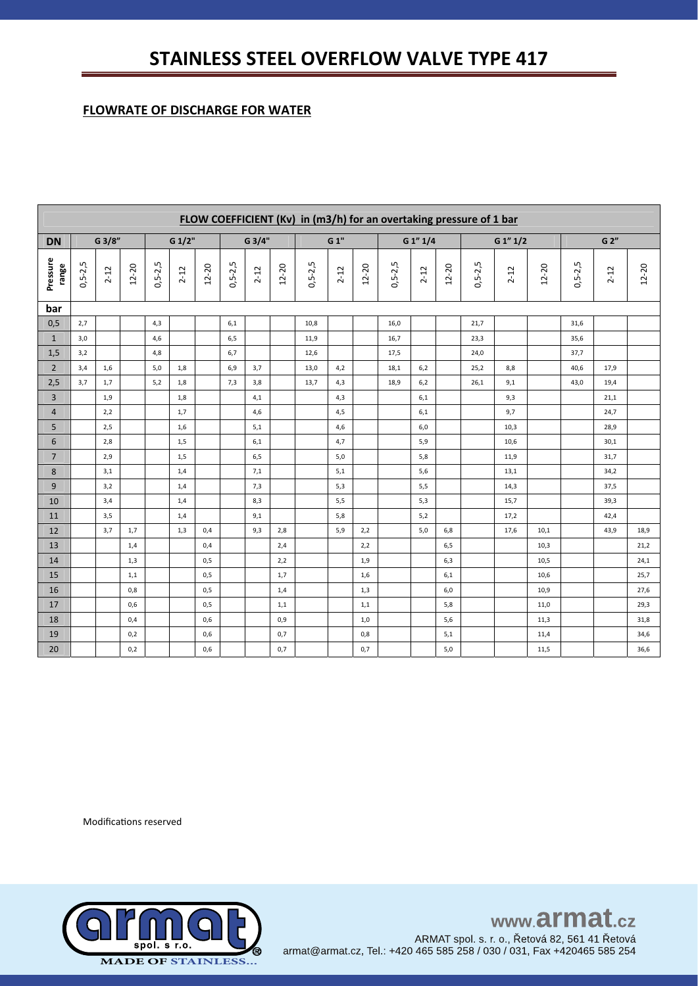# **FLOWRATE OF DISCHARGE FOR WATER**

|                   | FLOW COEFFICIENT (Kv) in (m3/h) for an overtaking pressure of 1 bar |          |           |               |          |           |               |          |       |           |          |           |               |          |           |           |             |           |           |          |           |
|-------------------|---------------------------------------------------------------------|----------|-----------|---------------|----------|-----------|---------------|----------|-------|-----------|----------|-----------|---------------|----------|-----------|-----------|-------------|-----------|-----------|----------|-----------|
| <b>DN</b>         |                                                                     | G 3/8"   |           |               | G 1/2"   |           |               | G 3/4"   |       |           | G 1"     |           |               | G 1" 1/4 |           |           | $G_1''_1/2$ |           | G 2"      |          |           |
| Pressure<br>range | $0,5-2,5$                                                           | $2 - 12$ | $12 - 20$ | $0, 5 - 2, 5$ | $2 - 12$ | $12 - 20$ | $0, 5 - 2, 5$ | $2 - 12$ | 12-20 | $0,5-2,5$ | $2 - 12$ | $12 - 20$ | $0, 5 - 2, 5$ | $2 - 12$ | $12 - 20$ | $0,5-2,5$ | $2 - 12$    | $12 - 20$ | $0,5-2,5$ | $2 - 12$ | $12 - 20$ |
| bar               |                                                                     |          |           |               |          |           |               |          |       |           |          |           |               |          |           |           |             |           |           |          |           |
| 0,5               | 2,7                                                                 |          |           | 4,3           |          |           | 6,1           |          |       | 10,8      |          |           | 16,0          |          |           | 21,7      |             |           | 31,6      |          |           |
| $\mathbf{1}$      | 3,0                                                                 |          |           | 4,6           |          |           | 6,5           |          |       | 11,9      |          |           | 16,7          |          |           | 23,3      |             |           | 35,6      |          |           |
| 1,5               | 3,2                                                                 |          |           | 4,8           |          |           | 6,7           |          |       | 12,6      |          |           | 17,5          |          |           | 24,0      |             |           | 37,7      |          |           |
| $\overline{2}$    | 3,4                                                                 | 1,6      |           | 5,0           | 1,8      |           | 6,9           | 3,7      |       | 13,0      | 4,2      |           | 18,1          | 6,2      |           | 25,2      | 8,8         |           | 40,6      | 17,9     |           |
| 2,5               | 3,7                                                                 | 1,7      |           | 5,2           | 1,8      |           | 7,3           | 3,8      |       | 13,7      | 4,3      |           | 18,9          | 6,2      |           | 26,1      | 9,1         |           | 43,0      | 19,4     |           |
| 3                 |                                                                     | 1,9      |           |               | 1,8      |           |               | 4,1      |       |           | 4,3      |           |               | 6,1      |           |           | 9,3         |           |           | 21,1     |           |
| $\overline{4}$    |                                                                     | 2,2      |           |               | 1,7      |           |               | 4,6      |       |           | 4,5      |           |               | 6,1      |           |           | 9,7         |           |           | 24,7     |           |
| 5                 |                                                                     | 2,5      |           |               | 1,6      |           |               | 5,1      |       |           | 4,6      |           |               | 6,0      |           |           | 10,3        |           |           | 28,9     |           |
| $\boldsymbol{6}$  |                                                                     | 2,8      |           |               | 1,5      |           |               | 6,1      |       |           | 4,7      |           |               | 5,9      |           |           | 10,6        |           |           | 30,1     |           |
| $\overline{7}$    |                                                                     | 2,9      |           |               | 1,5      |           |               | 6,5      |       |           | 5,0      |           |               | 5,8      |           |           | 11,9        |           |           | 31,7     |           |
| 8                 |                                                                     | 3,1      |           |               | 1,4      |           |               | 7,1      |       |           | 5,1      |           |               | 5,6      |           |           | 13,1        |           |           | 34,2     |           |
| 9                 |                                                                     | 3,2      |           |               | 1,4      |           |               | 7,3      |       |           | 5,3      |           |               | 5,5      |           |           | 14,3        |           |           | 37,5     |           |
| 10                |                                                                     | 3,4      |           |               | 1,4      |           |               | 8,3      |       |           | 5,5      |           |               | 5,3      |           |           | 15,7        |           |           | 39,3     |           |
| 11                |                                                                     | 3,5      |           |               | 1,4      |           |               | 9,1      |       |           | 5,8      |           |               | 5,2      |           |           | 17,2        |           |           | 42,4     |           |
| 12                |                                                                     | 3,7      | 1,7       |               | 1,3      | 0,4       |               | 9,3      | 2,8   |           | 5,9      | 2,2       |               | 5,0      | 6,8       |           | 17,6        | 10,1      |           | 43,9     | 18,9      |
| 13                |                                                                     |          | 1,4       |               |          | 0,4       |               |          | 2,4   |           |          | 2,2       |               |          | 6,5       |           |             | 10,3      |           |          | 21,2      |
| 14                |                                                                     |          | 1,3       |               |          | 0,5       |               |          | 2,2   |           |          | 1,9       |               |          | 6,3       |           |             | 10,5      |           |          | 24,1      |
| 15                |                                                                     |          | 1,1       |               |          | 0,5       |               |          | 1,7   |           |          | 1,6       |               |          | 6,1       |           |             | 10,6      |           |          | 25,7      |
| 16                |                                                                     |          | 0,8       |               |          | 0,5       |               |          | 1,4   |           |          | 1,3       |               |          | 6,0       |           |             | 10,9      |           |          | 27,6      |
| 17                |                                                                     |          | 0,6       |               |          | 0,5       |               |          | 1,1   |           |          | 1,1       |               |          | 5,8       |           |             | 11,0      |           |          | 29,3      |
| 18                |                                                                     |          | 0,4       |               |          | 0,6       |               |          | 0,9   |           |          | 1,0       |               |          | 5,6       |           |             | 11,3      |           |          | 31,8      |
| 19                |                                                                     |          | 0,2       |               |          | 0,6       |               |          | 0,7   |           |          | 0,8       |               |          | 5,1       |           |             | 11,4      |           |          | 34,6      |
| 20                |                                                                     |          | 0,2       |               |          | 0,6       |               |          | 0,7   |           |          | 0,7       |               |          | 5,0       |           |             | 11,5      |           |          | 36,6      |

Modifications reserved



www.armat.cz ARMAT spol. s. r. o., Řetová 82, 561 41 Řetová armat@armat.cz, Tel.: +420 465 585 258 / 030 / 031, Fax +420465 585 254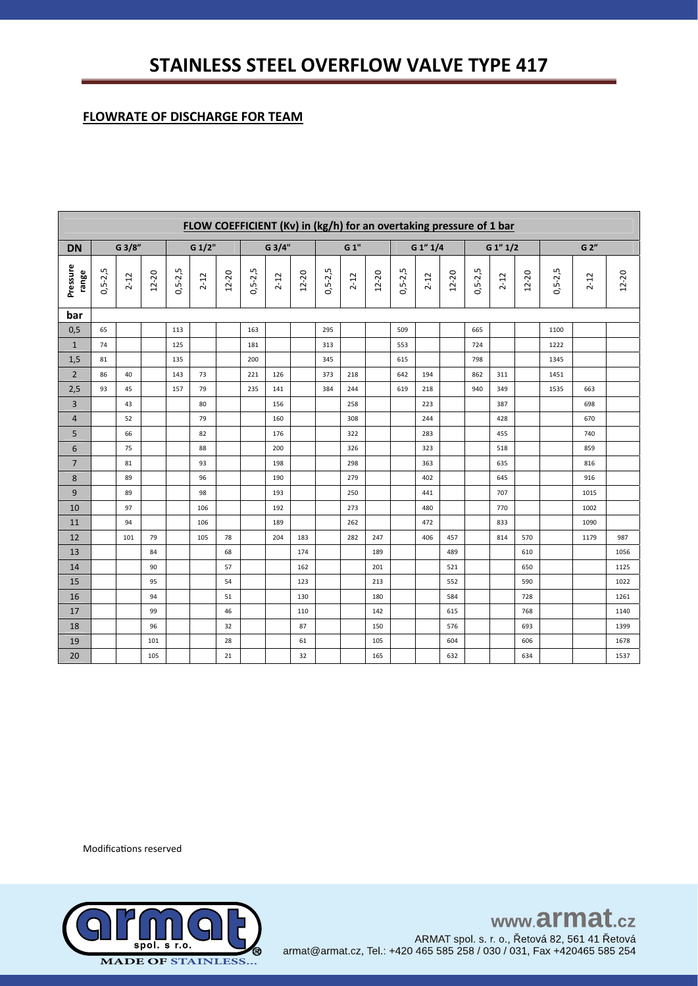# **FLOWRATE OF DISCHARGE FOR TEAM**

|                   | FLOW COEFFICIENT (Kv) in (kg/h) for an overtaking pressure of 1 bar |          |       |             |          |           |               |          |       |             |          |           |               |          |           |           |          |       |               |          |           |
|-------------------|---------------------------------------------------------------------|----------|-------|-------------|----------|-----------|---------------|----------|-------|-------------|----------|-----------|---------------|----------|-----------|-----------|----------|-------|---------------|----------|-----------|
| <b>DN</b>         |                                                                     | G 3/8"   |       | G 1/2"      |          |           | G 3/4"        |          |       |             | G 1"     |           |               | G 1" 1/4 |           |           | G 1" 1/2 |       |               | G 2"     |           |
| Pressure<br>range | $0, 5 - 2, 5$                                                       | $2 - 12$ | 12-20 | $0,5 - 2,5$ | $2 - 12$ | $12 - 20$ | $0, 5 - 2, 5$ | $2 - 12$ | 12-20 | $0,5 - 2,5$ | $2 - 12$ | $12 - 20$ | $0, 5 - 2, 5$ | $2 - 12$ | $12 - 20$ | $0,5-2,5$ | $2 - 12$ | 12-20 | $0, 5 - 2, 5$ | $2 - 12$ | $12 - 20$ |
| bar               |                                                                     |          |       |             |          |           |               |          |       |             |          |           |               |          |           |           |          |       |               |          |           |
| 0,5               | 65                                                                  |          |       | 113         |          |           | 163           |          |       | 295         |          |           | 509           |          |           | 665       |          |       | 1100          |          |           |
| $\mathbf{1}$      | 74                                                                  |          |       | 125         |          |           | 181           |          |       | 313         |          |           | 553           |          |           | 724       |          |       | 1222          |          |           |
| 1,5               | 81                                                                  |          |       | 135         |          |           | 200           |          |       | 345         |          |           | 615           |          |           | 798       |          |       | 1345          |          |           |
| $\overline{2}$    | 86                                                                  | 40       |       | 143         | 73       |           | 221           | 126      |       | 373         | 218      |           | 642           | 194      |           | 862       | 311      |       | 1451          |          |           |
| 2,5               | 93                                                                  | 45       |       | 157         | 79       |           | 235           | 141      |       | 384         | 244      |           | 619           | 218      |           | 940       | 349      |       | 1535          | 663      |           |
| 3                 |                                                                     | 43       |       |             | 80       |           |               | 156      |       |             | 258      |           |               | 223      |           |           | 387      |       |               | 698      |           |
| 4                 |                                                                     | 52       |       |             | 79       |           |               | 160      |       |             | 308      |           |               | 244      |           |           | 428      |       |               | 670      |           |
| 5                 |                                                                     | 66       |       |             | 82       |           |               | 176      |       |             | 322      |           |               | 283      |           |           | 455      |       |               | 740      |           |
| 6                 |                                                                     | 75       |       |             | 88       |           |               | 200      |       |             | 326      |           |               | 323      |           |           | 518      |       |               | 859      |           |
| $\overline{7}$    |                                                                     | 81       |       |             | 93       |           |               | 198      |       |             | 298      |           |               | 363      |           |           | 635      |       |               | 816      |           |
| 8                 |                                                                     | 89       |       |             | 96       |           |               | 190      |       |             | 279      |           |               | 402      |           |           | 645      |       |               | 916      |           |
| 9                 |                                                                     | 89       |       |             | 98       |           |               | 193      |       |             | 250      |           |               | 441      |           |           | 707      |       |               | 1015     |           |
| 10                |                                                                     | 97       |       |             | 106      |           |               | 192      |       |             | 273      |           |               | 480      |           |           | 770      |       |               | 1002     |           |
| 11                |                                                                     | 94       |       |             | 106      |           |               | 189      |       |             | 262      |           |               | 472      |           |           | 833      |       |               | 1090     |           |
| 12                |                                                                     | 101      | 79    |             | 105      | 78        |               | 204      | 183   |             | 282      | 247       |               | 406      | 457       |           | 814      | 570   |               | 1179     | 987       |
| 13                |                                                                     |          | 84    |             |          | 68        |               |          | 174   |             |          | 189       |               |          | 489       |           |          | 610   |               |          | 1056      |
| 14                |                                                                     |          | 90    |             |          | 57        |               |          | 162   |             |          | 201       |               |          | 521       |           |          | 650   |               |          | 1125      |
| 15                |                                                                     |          | 95    |             |          | 54        |               |          | 123   |             |          | 213       |               |          | 552       |           |          | 590   |               |          | 1022      |
| 16                |                                                                     |          | 94    |             |          | 51        |               |          | 130   |             |          | 180       |               |          | 584       |           |          | 728   |               |          | 1261      |
| 17                |                                                                     |          | 99    |             |          | 46        |               |          | 110   |             |          | 142       |               |          | 615       |           |          | 768   |               |          | 1140      |
| 18                |                                                                     |          | 96    |             |          | 32        |               |          | 87    |             |          | 150       |               |          | 576       |           |          | 693   |               |          | 1399      |
| 19                |                                                                     |          | 101   |             |          | 28        |               |          | 61    |             |          | 105       |               |          | 604       |           |          | 606   |               |          | 1678      |
| 20                |                                                                     |          | 105   |             |          | 21        |               |          | 32    |             |          | 165       |               |          | 632       |           |          | 634   |               |          | 1537      |

Modifications reserved



www.armat.cz ARMAT spol. s. r. o., Řetová 82, 561 41 Řetová<br>armat@armat.cz, Tel.: +420 465 585 258 / 030 / 031, Fax +420465 585 254